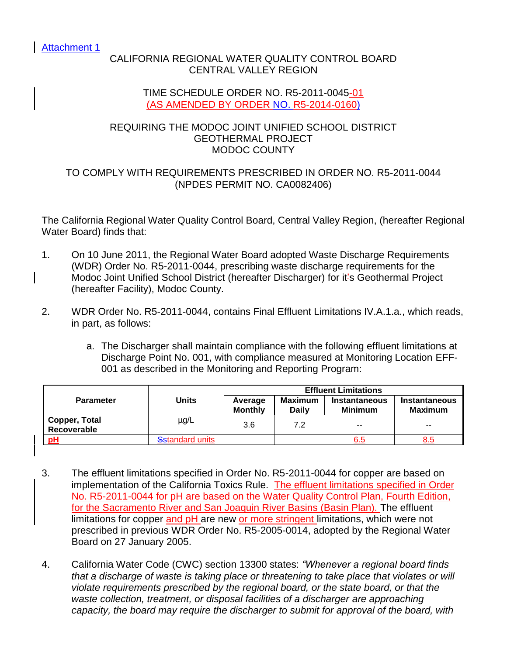Attachment 1

## CALIFORNIA REGIONAL WATER QUALITY CONTROL BOARD CENTRAL VALLEY REGION

### TIME SCHEDULE ORDER NO. R5-2011-0045-01 (AS AMENDED BY ORDER NO. R5-2014-0160)

### REQUIRING THE MODOC JOINT UNIFIED SCHOOL DISTRICT GEOTHERMAL PROJECT MODOC COUNTY

## TO COMPLY WITH REQUIREMENTS PRESCRIBED IN ORDER NO. R5-2011-0044 (NPDES PERMIT NO. CA0082406)

The California Regional Water Quality Control Board, Central Valley Region, (hereafter Regional Water Board) finds that:

- 1. On 10 June 2011, the Regional Water Board adopted Waste Discharge Requirements (WDR) Order No. R5-2011-0044, prescribing waste discharge requirements for the Modoc Joint Unified School District (hereafter Discharger) for it's Geothermal Project (hereafter Facility), Modoc County.
- 2. WDR Order No. R5-2011-0044, contains Final Effluent Limitations IV.A.1.a., which reads, in part, as follows:
	- a. The Discharger shall maintain compliance with the following effluent limitations at Discharge Point No. 001, with compliance measured at Monitoring Location EFF-001 as described in the Monitoring and Reporting Program:

|                              |                 | <b>Effluent Limitations</b> |                         |                                        |                                 |  |
|------------------------------|-----------------|-----------------------------|-------------------------|----------------------------------------|---------------------------------|--|
| <b>Parameter</b>             | <b>Units</b>    | Average<br><b>Monthly</b>   | Maximum<br><b>Daily</b> | <b>Instantaneous</b><br><b>Minimum</b> | <b>Instantaneous</b><br>Maximum |  |
| Copper, Total<br>Recoverable | µg/L            | 3.6                         | 7.2                     | $- -$                                  | $- -$                           |  |
| pH                           | Sstandard units |                             |                         | 6.5                                    | 8.5                             |  |

- 3. The effluent limitations specified in Order No. R5-2011-0044 for copper are based on implementation of the California Toxics Rule. The effluent limitations specified in Order No. R5-2011-0044 for pH are based on the Water Quality Control Plan, Fourth Edition, for the Sacramento River and San Joaquin River Basins (Basin Plan). The effluent limitations for copper and pH are new or more stringent limitations, which were not prescribed in previous WDR Order No. R5-2005-0014, adopted by the Regional Water Board on 27 January 2005.
- 4. California Water Code (CWC) section 13300 states: *"Whenever a regional board finds that a discharge of waste is taking place or threatening to take place that violates or will violate requirements prescribed by the regional board, or the state board, or that the*  waste collection, treatment, or disposal facilities of a discharger are approaching *capacity, the board may require the discharger to submit for approval of the board, with*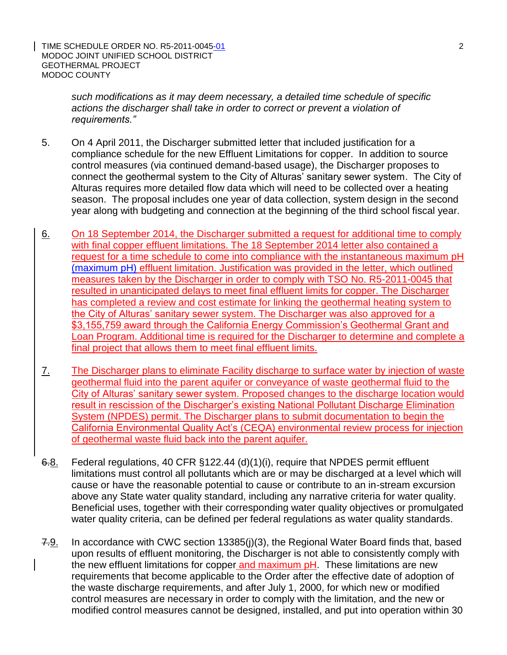*such modifications as it may deem necessary, a detailed time schedule of specific actions the discharger shall take in order to correct or prevent a violation of requirements."*

- 5. On 4 April 2011, the Discharger submitted letter that included justification for a compliance schedule for the new Effluent Limitations for copper. In addition to source control measures (via continued demand-based usage), the Discharger proposes to connect the geothermal system to the City of Alturas' sanitary sewer system. The City of Alturas requires more detailed flow data which will need to be collected over a heating season. The proposal includes one year of data collection, system design in the second year along with budgeting and connection at the beginning of the third school fiscal year.
- 6. On 18 September 2014, the Discharger submitted a request for additional time to comply with final copper effluent limitations. The 18 September 2014 letter also contained a request for a time schedule to come into compliance with the instantaneous maximum pH (maximum pH) effluent limitation. Justification was provided in the letter, which outlined measures taken by the Discharger in order to comply with TSO No. R5-2011-0045 that resulted in unanticipated delays to meet final effluent limits for copper. The Discharger has completed a review and cost estimate for linking the geothermal heating system to the City of Alturas' sanitary sewer system. The Discharger was also approved for a \$3,155,759 award through the California Energy Commission's Geothermal Grant and Loan Program. Additional time is required for the Discharger to determine and complete a final project that allows them to meet final effluent limits.
- 7. The Discharger plans to eliminate Facility discharge to surface water by injection of waste geothermal fluid into the parent aquifer or conveyance of waste geothermal fluid to the City of Alturas' sanitary sewer system. Proposed changes to the discharge location would result in rescission of the Discharger's existing National Pollutant Discharge Elimination System (NPDES) permit. The Discharger plans to submit documentation to begin the California Environmental Quality Act's (CEQA) environmental review process for injection of geothermal waste fluid back into the parent aquifer.
- 6.8. Federal regulations, 40 CFR §122.44 (d)(1)(i), require that NPDES permit effluent limitations must control all pollutants which are or may be discharged at a level which will cause or have the reasonable potential to cause or contribute to an in-stream excursion above any State water quality standard, including any narrative criteria for water quality. Beneficial uses, together with their corresponding water quality objectives or promulgated water quality criteria, can be defined per federal regulations as water quality standards.
- 7.9. In accordance with CWC section 13385(i)(3), the Regional Water Board finds that, based upon results of effluent monitoring, the Discharger is not able to consistently comply with the new effluent limitations for copper and maximum pH. These limitations are new requirements that become applicable to the Order after the effective date of adoption of the waste discharge requirements, and after July 1, 2000, for which new or modified control measures are necessary in order to comply with the limitation, and the new or modified control measures cannot be designed, installed, and put into operation within 30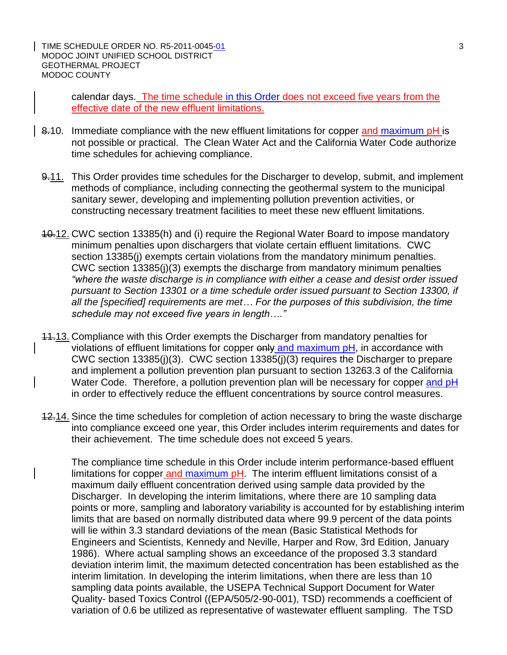TIME SCHEDULE ORDER NO. R5-2011-0045-01 3 MODOC JOINT UNIFIED SCHOOL DISTRICT GEOTHERMAL PROJECT MODOC COUNTY

calendar days. The time schedule in this Order does not exceed five years from the effective date of the new effluent limitations.

- 8.10. Immediate compliance with the new effluent limitations for copper and maximum pH is not possible or practical. The Clean Water Act and the California Water Code authorize time schedules for achieving compliance.
- 9.11. This Order provides time schedules for the Discharger to develop, submit, and implement methods of compliance, including connecting the geothermal system to the municipal sanitary sewer, developing and implementing pollution prevention activities, or constructing necessary treatment facilities to meet these new effluent limitations.
- 10.12. CWC section 13385(h) and (i) require the Regional Water Board to impose mandatory minimum penalties upon dischargers that violate certain effluent limitations. CWC section 13385(i) exempts certain violations from the mandatory minimum penalties. CWC section 13385(j)(3) exempts the discharge from mandatory minimum penalties *"where the waste discharge is in compliance with either a cease and desist order issued pursuant to Section 13301 or a time schedule order issued pursuant to Section 13300, if all the [specified] requirements are met… For the purposes of this subdivision, the time schedule may not exceed five years in length…."*
- 11.13. Compliance with this Order exempts the Discharger from mandatory penalties for violations of effluent limitations for copper only and maximum pH, in accordance with CWC section 13385(j)(3). CWC section 13385(j)(3) requires the Discharger to prepare and implement a pollution prevention plan pursuant to section 13263.3 of the California Water Code. Therefore, a pollution prevention plan will be necessary for copper and pH in order to effectively reduce the effluent concentrations by source control measures.
- 12.14. Since the time schedules for completion of action necessary to bring the waste discharge into compliance exceed one year, this Order includes interim requirements and dates for their achievement. The time schedule does not exceed 5 years.

The compliance time schedule in this Order include interim performance-based effluent limitations for copper and maximum pH. The interim effluent limitations consist of a maximum daily effluent concentration derived using sample data provided by the Discharger. In developing the interim limitations, where there are 10 sampling data points or more, sampling and laboratory variability is accounted for by establishing interim limits that are based on normally distributed data where 99.9 percent of the data points will lie within 3.3 standard deviations of the mean (Basic Statistical Methods for Engineers and Scientists, Kennedy and Neville, Harper and Row, 3rd Edition, January 1986). Where actual sampling shows an exceedance of the proposed 3.3 standard deviation interim limit, the maximum detected concentration has been established as the interim limitation. In developing the interim limitations, when there are less than 10 sampling data points available, the USEPA Technical Support Document for Water Quality- based Toxics Control ((EPA/505/2-90-001), TSD) recommends a coefficient of variation of 0.6 be utilized as representative of wastewater effluent sampling. The TSD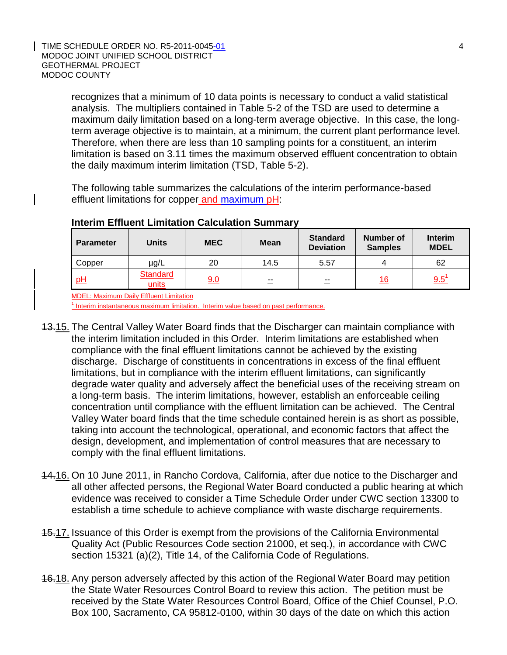#### TIME SCHEDULE ORDER NO. R5-2011-0045-01 4 MODOC JOINT UNIFIED SCHOOL DISTRICT GEOTHERMAL PROJECT MODOC COUNTY

recognizes that a minimum of 10 data points is necessary to conduct a valid statistical analysis. The multipliers contained in Table 5-2 of the TSD are used to determine a maximum daily limitation based on a long-term average objective. In this case, the longterm average objective is to maintain, at a minimum, the current plant performance level. Therefore, when there are less than 10 sampling points for a constituent, an interim limitation is based on 3.11 times the maximum observed effluent concentration to obtain the daily maximum interim limitation (TSD, Table 5-2).

The following table summarizes the calculations of the interim performance-based effluent limitations for copper and maximum pH:

| <b>Parameter</b> | <b>Units</b>      | <b>MEC</b> | <b>Mean</b> | <b>Standard</b><br><b>Deviation</b> | <b>Number of</b><br><b>Samples</b> | <b>Interim</b><br><b>MDEL</b> |
|------------------|-------------------|------------|-------------|-------------------------------------|------------------------------------|-------------------------------|
| Copper           | $\mu$ g/L         | 20         | 14.5        | 5.57                                |                                    | 62                            |
| pH               | Standard<br>units | 9.0        | $- -$       | $\equiv$                            | 16                                 | 9.5'                          |

### **Interim Effluent Limitation Calculation Summary**

MDEL: Maximum Daily Effluent Limitation

<sup>1</sup> Interim instantaneous maximum limitation. Interim value based on past performance.

- 13.15. The Central Valley Water Board finds that the Discharger can maintain compliance with the interim limitation included in this Order. Interim limitations are established when compliance with the final effluent limitations cannot be achieved by the existing discharge. Discharge of constituents in concentrations in excess of the final effluent limitations, but in compliance with the interim effluent limitations, can significantly degrade water quality and adversely affect the beneficial uses of the receiving stream on a long-term basis. The interim limitations, however, establish an enforceable ceiling concentration until compliance with the effluent limitation can be achieved. The Central Valley Water board finds that the time schedule contained herein is as short as possible, taking into account the technological, operational, and economic factors that affect the design, development, and implementation of control measures that are necessary to comply with the final effluent limitations.
- 14.16. On 10 June 2011, in Rancho Cordova, California, after due notice to the Discharger and all other affected persons, the Regional Water Board conducted a public hearing at which evidence was received to consider a Time Schedule Order under CWC section 13300 to establish a time schedule to achieve compliance with waste discharge requirements.
- 15.17. Issuance of this Order is exempt from the provisions of the California Environmental Quality Act (Public Resources Code section 21000, et seq.), in accordance with CWC section 15321 (a)(2), Title 14, of the California Code of Regulations.
- **16.18. Any person adversely affected by this action of the Regional Water Board may petition** the State Water Resources Control Board to review this action. The petition must be received by the State Water Resources Control Board, Office of the Chief Counsel, P.O. Box 100, Sacramento, CA 95812-0100, within 30 days of the date on which this action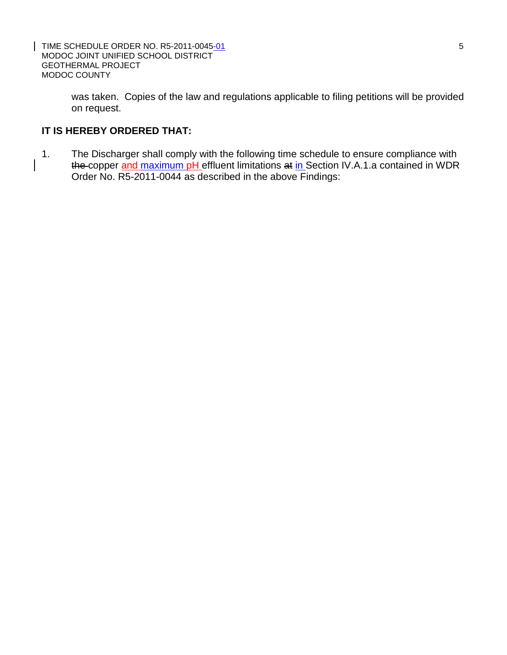TIME SCHEDULE ORDER NO. R5-2011-0045-01 5 MODOC JOINT UNIFIED SCHOOL DISTRICT GEOTHERMAL PROJECT MODOC COUNTY

was taken. Copies of the law and regulations applicable to filing petitions will be provided on request.

# **IT IS HEREBY ORDERED THAT:**

1. The Discharger shall comply with the following time schedule to ensure compliance with the copper and maximum pH effluent limitations at in Section IV.A.1.a contained in WDR Order No. R5-2011-0044 as described in the above Findings: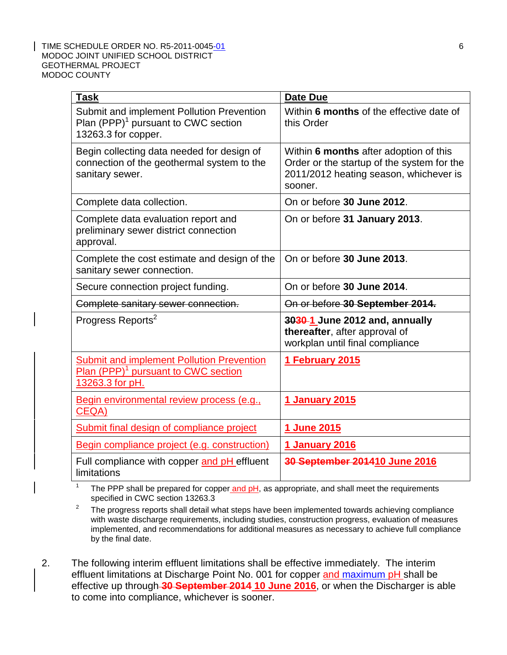#### TIME SCHEDULE ORDER NO. R5-2011-0045-01 6 MODOC JOINT UNIFIED SCHOOL DISTRICT GEOTHERMAL PROJECT MODOC COUNTY

| <b>Task</b>                                                                                                            | <b>Date Due</b>                                                                                                                           |  |  |
|------------------------------------------------------------------------------------------------------------------------|-------------------------------------------------------------------------------------------------------------------------------------------|--|--|
| Submit and implement Pollution Prevention<br>Plan (PPP) <sup>1</sup> pursuant to CWC section<br>13263.3 for copper.    | Within 6 months of the effective date of<br>this Order                                                                                    |  |  |
| Begin collecting data needed for design of<br>connection of the geothermal system to the<br>sanitary sewer.            | Within 6 months after adoption of this<br>Order or the startup of the system for the<br>2011/2012 heating season, whichever is<br>sooner. |  |  |
| Complete data collection.                                                                                              | On or before 30 June 2012.                                                                                                                |  |  |
| Complete data evaluation report and<br>preliminary sewer district connection<br>approval.                              | On or before 31 January 2013.                                                                                                             |  |  |
| Complete the cost estimate and design of the<br>sanitary sewer connection.                                             | On or before 30 June 2013.                                                                                                                |  |  |
| Secure connection project funding.                                                                                     | On or before 30 June 2014.                                                                                                                |  |  |
| Complete sanitary sewer connection.                                                                                    | On or before 30 September 2014.                                                                                                           |  |  |
| Progress Reports <sup>2</sup>                                                                                          | 3030-1 June 2012 and, annually<br>thereafter, after approval of<br>workplan until final compliance                                        |  |  |
| <b>Submit and implement Pollution Prevention</b><br>Plan (PPP) <sup>1</sup> pursuant to CWC section<br>13263.3 for pH. | 1 February 2015                                                                                                                           |  |  |
| Begin environmental review process (e.g.,<br>CEQA)                                                                     | 1 January 2015                                                                                                                            |  |  |
| Submit final design of compliance project                                                                              | 1 June 2015                                                                                                                               |  |  |
| Begin compliance project (e.g. construction)                                                                           | <b>1 January 2016</b>                                                                                                                     |  |  |
| Full compliance with copper and pH effluent<br>limitations                                                             | 30 September 201410 June 2016                                                                                                             |  |  |

1 The PPP shall be prepared for copper and pH, as appropriate, and shall meet the requirements specified in CWC section 13263.3

- 2 The progress reports shall detail what steps have been implemented towards achieving compliance with waste discharge requirements, including studies, construction progress, evaluation of measures implemented, and recommendations for additional measures as necessary to achieve full compliance by the final date.
- 2. The following interim effluent limitations shall be effective immediately. The interim effluent limitations at Discharge Point No. 001 for copper and maximum pH shall be effective up through **30 September 2014 10 June 2016**, or when the Discharger is able to come into compliance, whichever is sooner.